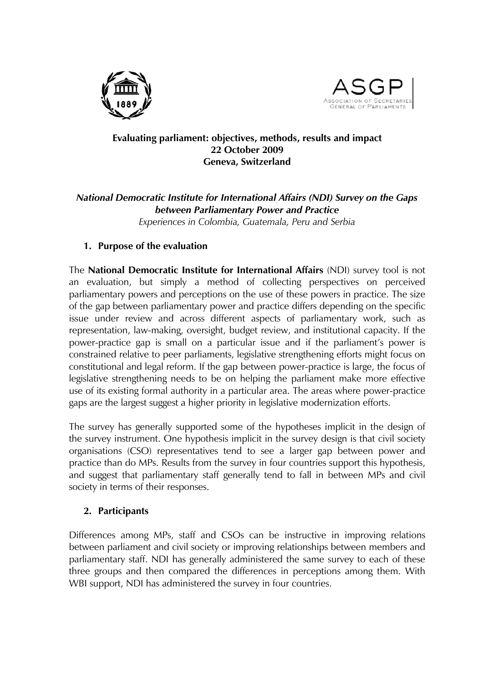



### **Evaluating parliament: objectives, methods, results and impact 22 October 2009 Geneva, Switzerland**

### *National Democratic Institute for International Affairs (NDI) Survey on the Gaps between Parliamentary Power and Practice Experiences in Colombia, Guatemala, Peru and Serbia*

## **1. Purpose of the evaluation**

The **National Democratic Institute for International Affairs** (NDI) survey tool is not an evaluation, but simply a method of collecting perspectives on perceived parliamentary powers and perceptions on the use of these powers in practice. The size of the gap between parliamentary power and practice differs depending on the specific issue under review and across different aspects of parliamentary work, such as representation, law-making, oversight, budget review, and institutional capacity. If the power-practice gap is small on a particular issue and if the parliament's power is constrained relative to peer parliaments, legislative strengthening efforts might focus on constitutional and legal reform. If the gap between power-practice is large, the focus of legislative strengthening needs to be on helping the parliament make more effective use of its existing formal authority in a particular area. The areas where power-practice gaps are the largest suggest a higher priority in legislative modernization efforts.

The survey has generally supported some of the hypotheses implicit in the design of the survey instrument. One hypothesis implicit in the survey design is that civil society organisations (CSO) representatives tend to see a larger gap between power and practice than do MPs. Results from the survey in four countries support this hypothesis, and suggest that parliamentary staff generally tend to fall in between MPs and civil society in terms of their responses.

# **2. Participants**

Differences among MPs, staff and CSOs can be instructive in improving relations between parliament and civil society or improving relationships between members and parliamentary staff. NDI has generally administered the same survey to each of these three groups and then compared the differences in perceptions among them. With WBI support, NDI has administered the survey in four countries.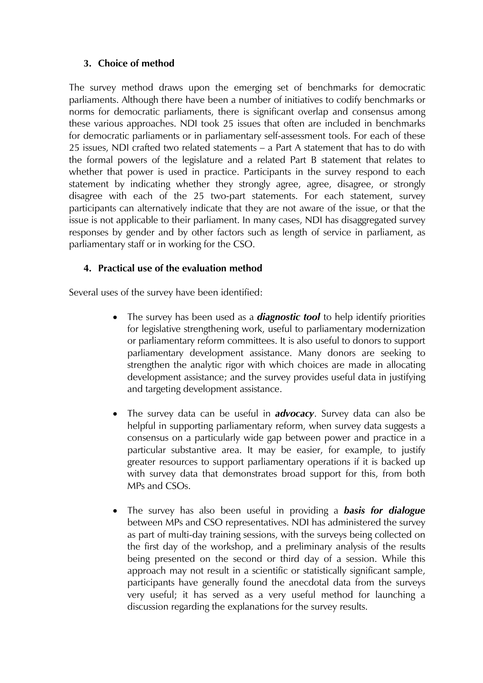### **3. Choice of method**

The survey method draws upon the emerging set of benchmarks for democratic parliaments. Although there have been a number of initiatives to codify benchmarks or norms for democratic parliaments, there is significant overlap and consensus among these various approaches. NDI took 25 issues that often are included in benchmarks for democratic parliaments or in parliamentary self-assessment tools. For each of these 25 issues, NDI crafted two related statements – a Part A statement that has to do with the formal powers of the legislature and a related Part B statement that relates to whether that power is used in practice. Participants in the survey respond to each statement by indicating whether they strongly agree, agree, disagree, or strongly disagree with each of the 25 two-part statements. For each statement, survey participants can alternatively indicate that they are not aware of the issue, or that the issue is not applicable to their parliament. In many cases, NDI has disaggregated survey responses by gender and by other factors such as length of service in parliament, as parliamentary staff or in working for the CSO.

# **4. Practical use of the evaluation method**

Several uses of the survey have been identified:

- The survey has been used as a *diagnostic tool* to help identify priorities for legislative strengthening work, useful to parliamentary modernization or parliamentary reform committees. It is also useful to donors to support parliamentary development assistance. Many donors are seeking to strengthen the analytic rigor with which choices are made in allocating development assistance; and the survey provides useful data in justifying and targeting development assistance.
- The survey data can be useful in *advocacy*. Survey data can also be helpful in supporting parliamentary reform, when survey data suggests a consensus on a particularly wide gap between power and practice in a particular substantive area. It may be easier, for example, to justify greater resources to support parliamentary operations if it is backed up with survey data that demonstrates broad support for this, from both MPs and CSOs.
- The survey has also been useful in providing a *basis for dialogue* between MPs and CSO representatives. NDI has administered the survey as part of multi-day training sessions, with the surveys being collected on the first day of the workshop, and a preliminary analysis of the results being presented on the second or third day of a session. While this approach may not result in a scientific or statistically significant sample, participants have generally found the anecdotal data from the surveys very useful; it has served as a very useful method for launching a discussion regarding the explanations for the survey results.